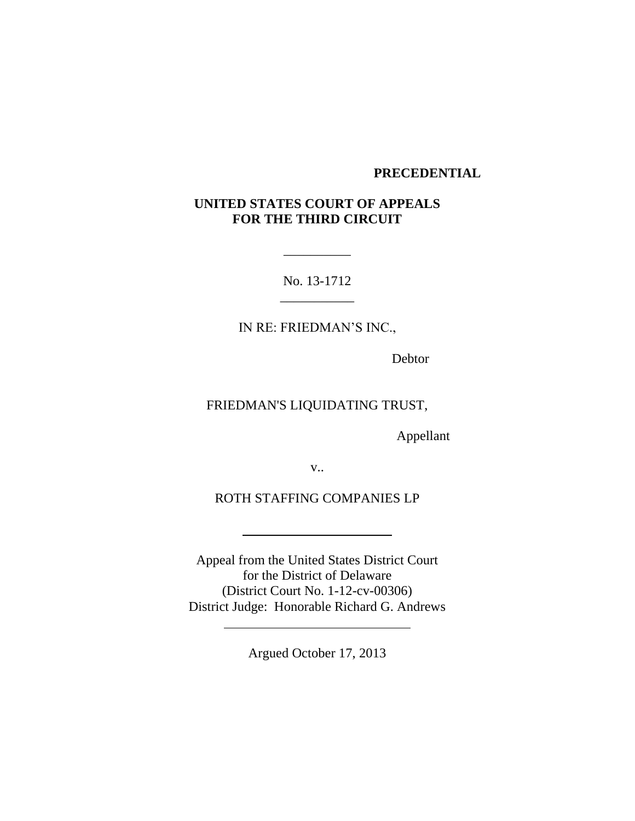## **PRECEDENTIAL**

# **UNITED STATES COURT OF APPEALS FOR THE THIRD CIRCUIT**

No. 13-1712 \_\_\_\_\_\_\_\_\_\_\_

\_\_\_\_\_\_\_\_\_\_

IN RE: FRIEDMAN'S INC.,

Debtor

FRIEDMAN'S LIQUIDATING TRUST,

Appellant

v..

ROTH STAFFING COMPANIES LP

Appeal from the United States District Court for the District of Delaware (District Court No. 1-12-cv-00306) District Judge: Honorable Richard G. Andrews

Argued October 17, 2013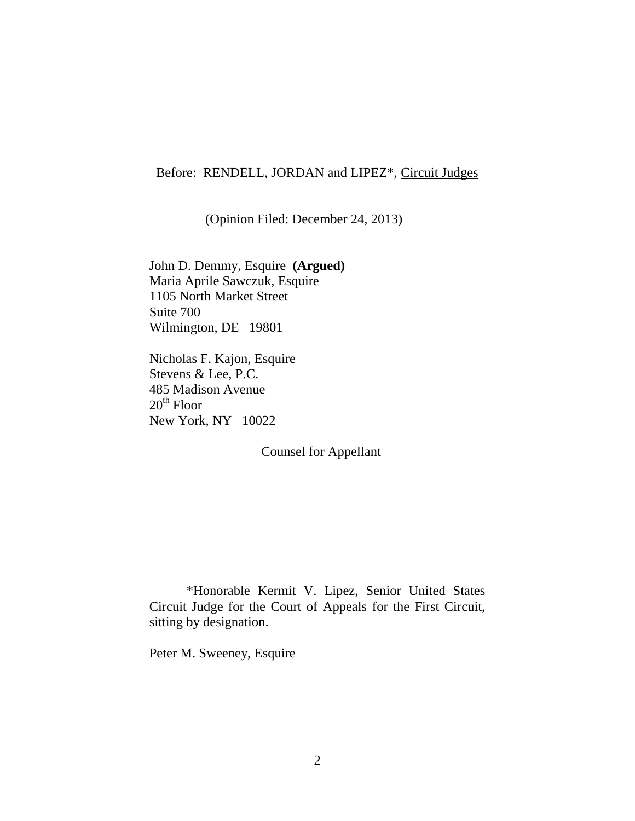## Before: RENDELL, JORDAN and LIPEZ\*, Circuit Judges

(Opinion Filed: December 24, 2013)

John D. Demmy, Esquire **(Argued)** Maria Aprile Sawczuk, Esquire 1105 North Market Street Suite 700 Wilmington, DE 19801

Nicholas F. Kajon, Esquire Stevens & Lee, P.C. 485 Madison Avenue  $20<sup>th</sup>$  Floor New York, NY 10022

Counsel for Appellant

Peter M. Sweeney, Esquire

<sup>\*</sup>Honorable Kermit V. Lipez, Senior United States Circuit Judge for the Court of Appeals for the First Circuit, sitting by designation.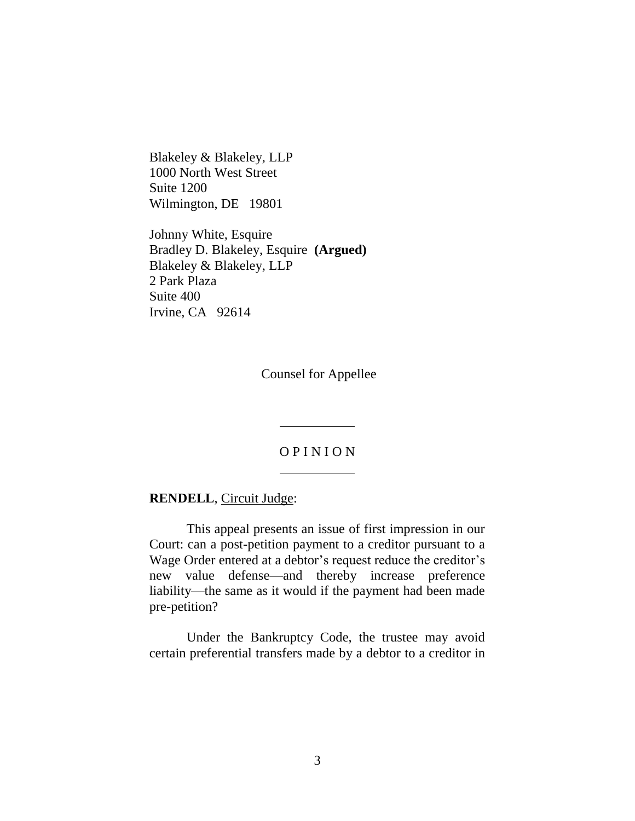Blakeley & Blakeley, LLP 1000 North West Street Suite 1200 Wilmington, DE 19801

Johnny White, Esquire Bradley D. Blakeley, Esquire **(Argued)** Blakeley & Blakeley, LLP 2 Park Plaza Suite 400 Irvine, CA 92614

Counsel for Appellee

## O P I N I O N

**RENDELL**, Circuit Judge:

This appeal presents an issue of first impression in our Court: can a post-petition payment to a creditor pursuant to a Wage Order entered at a debtor's request reduce the creditor's new value defense—and thereby increase preference liability—the same as it would if the payment had been made pre-petition?

Under the Bankruptcy Code, the trustee may avoid certain preferential transfers made by a debtor to a creditor in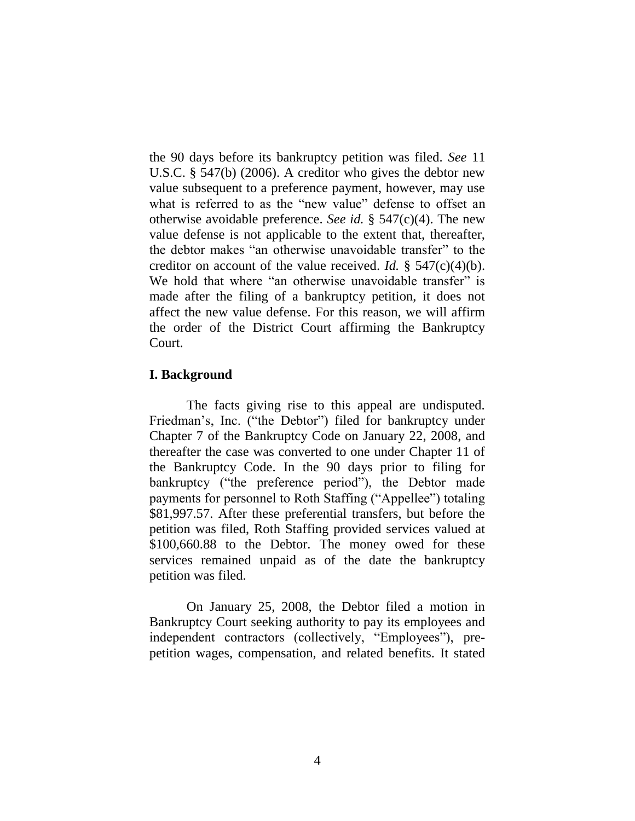the 90 days before its bankruptcy petition was filed. *See* 11 U.S.C. § 547(b) (2006). A creditor who gives the debtor new value subsequent to a preference payment, however, may use what is referred to as the "new value" defense to offset an otherwise avoidable preference. *See id.* § 547(c)(4). The new value defense is not applicable to the extent that, thereafter, the debtor makes "an otherwise unavoidable transfer" to the creditor on account of the value received. *Id.* § 547(c)(4)(b). We hold that where "an otherwise unavoidable transfer" is made after the filing of a bankruptcy petition, it does not affect the new value defense. For this reason, we will affirm the order of the District Court affirming the Bankruptcy Court.

### **I. Background**

The facts giving rise to this appeal are undisputed. Friedman's, Inc. ("the Debtor") filed for bankruptcy under Chapter 7 of the Bankruptcy Code on January 22, 2008, and thereafter the case was converted to one under Chapter 11 of the Bankruptcy Code. In the 90 days prior to filing for bankruptcy ("the preference period"), the Debtor made payments for personnel to Roth Staffing ("Appellee") totaling \$81,997.57. After these preferential transfers, but before the petition was filed, Roth Staffing provided services valued at \$100,660.88 to the Debtor. The money owed for these services remained unpaid as of the date the bankruptcy petition was filed.

On January 25, 2008, the Debtor filed a motion in Bankruptcy Court seeking authority to pay its employees and independent contractors (collectively, "Employees"), prepetition wages, compensation, and related benefits. It stated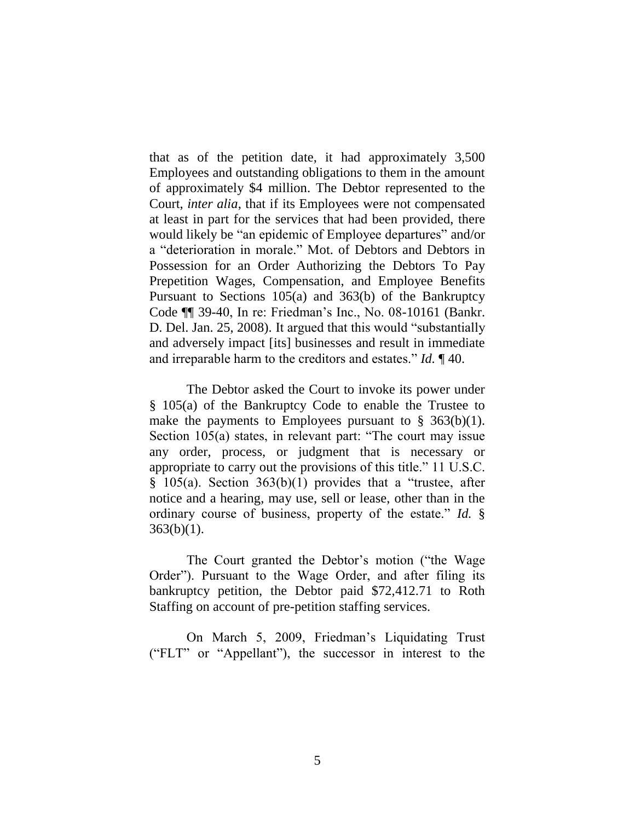that as of the petition date, it had approximately 3,500 Employees and outstanding obligations to them in the amount of approximately \$4 million. The Debtor represented to the Court, *inter alia*, that if its Employees were not compensated at least in part for the services that had been provided, there would likely be "an epidemic of Employee departures" and/or a "deterioration in morale." Mot. of Debtors and Debtors in Possession for an Order Authorizing the Debtors To Pay Prepetition Wages, Compensation, and Employee Benefits Pursuant to Sections 105(a) and 363(b) of the Bankruptcy Code ¶¶ 39-40, In re: Friedman's Inc., No. 08-10161 (Bankr. D. Del. Jan. 25, 2008). It argued that this would "substantially and adversely impact [its] businesses and result in immediate and irreparable harm to the creditors and estates." *Id.* ¶ 40.

The Debtor asked the Court to invoke its power under § 105(a) of the Bankruptcy Code to enable the Trustee to make the payments to Employees pursuant to  $\S$  363(b)(1). Section 105(a) states, in relevant part: "The court may issue any order, process, or judgment that is necessary or appropriate to carry out the provisions of this title." 11 U.S.C.  $§$  105(a). Section 363(b)(1) provides that a "trustee, after notice and a hearing, may use, sell or lease, other than in the ordinary course of business, property of the estate." *Id.* §  $363(b)(1)$ .

The Court granted the Debtor's motion ("the Wage Order"). Pursuant to the Wage Order, and after filing its bankruptcy petition, the Debtor paid \$72,412.71 to Roth Staffing on account of pre-petition staffing services.

On March 5, 2009, Friedman's Liquidating Trust ("FLT" or "Appellant"), the successor in interest to the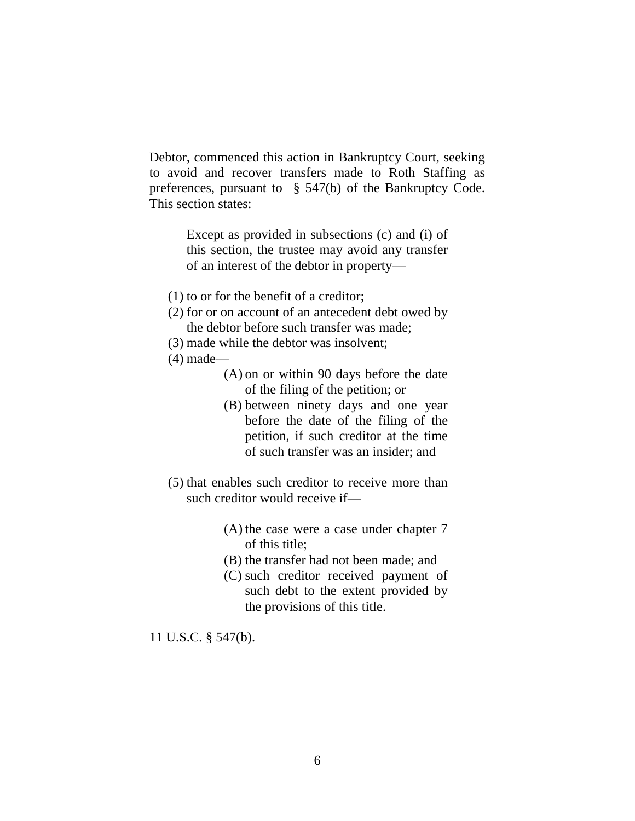Debtor, commenced this action in Bankruptcy Court, seeking to avoid and recover transfers made to Roth Staffing as preferences, pursuant to § 547(b) of the Bankruptcy Code. This section states:

> Except as provided in subsections (c) and (i) of this section, the trustee may avoid any transfer of an interest of the debtor in property—

- (1) to or for the benefit of a creditor;
- (2) for or on account of an antecedent debt owed by the debtor before such transfer was made;
- (3) made while the debtor was insolvent;
- (4) made—
	- (A) on or within 90 days before the date of the filing of the petition; or
	- (B) between ninety days and one year before the date of the filing of the petition, if such creditor at the time of such transfer was an insider; and
- (5) that enables such creditor to receive more than such creditor would receive if—
	- (A) the case were a case under chapter 7 of this title;
	- (B) the transfer had not been made; and
	- (C) such creditor received payment of such debt to the extent provided by the provisions of this title.

11 U.S.C. § 547(b).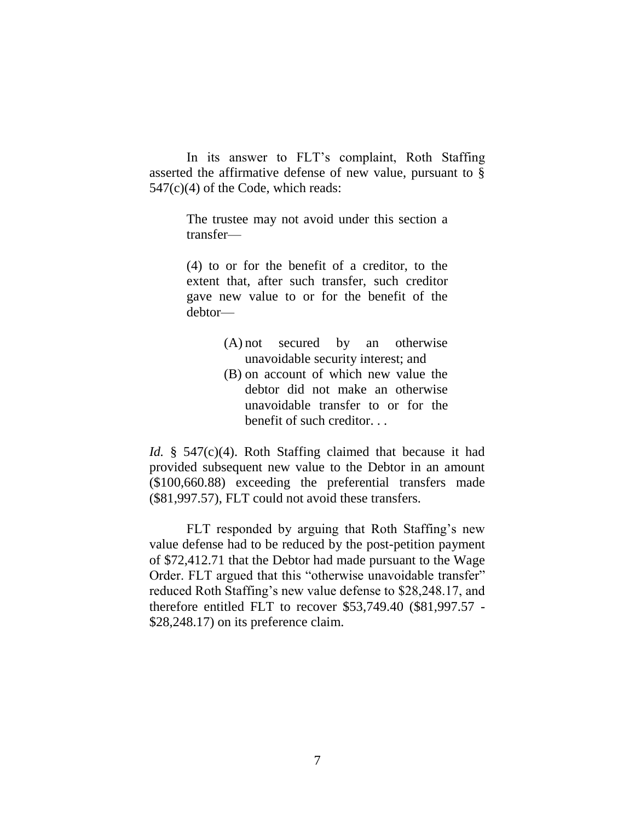In its answer to FLT's complaint, Roth Staffing asserted the affirmative defense of new value, pursuant to §  $547(c)(4)$  of the Code, which reads:

> The trustee may not avoid under this section a transfer—

> (4) to or for the benefit of a creditor, to the extent that, after such transfer, such creditor gave new value to or for the benefit of the debtor—

- (A) not secured by an otherwise unavoidable security interest; and
- (B) on account of which new value the debtor did not make an otherwise unavoidable transfer to or for the benefit of such creditor. . .

*Id.* § 547(c)(4). Roth Staffing claimed that because it had provided subsequent new value to the Debtor in an amount (\$100,660.88) exceeding the preferential transfers made (\$81,997.57), FLT could not avoid these transfers.

FLT responded by arguing that Roth Staffing's new value defense had to be reduced by the post-petition payment of \$72,412.71 that the Debtor had made pursuant to the Wage Order. FLT argued that this "otherwise unavoidable transfer" reduced Roth Staffing's new value defense to \$28,248.17, and therefore entitled FLT to recover \$53,749.40 (\$81,997.57 - \$28,248.17) on its preference claim.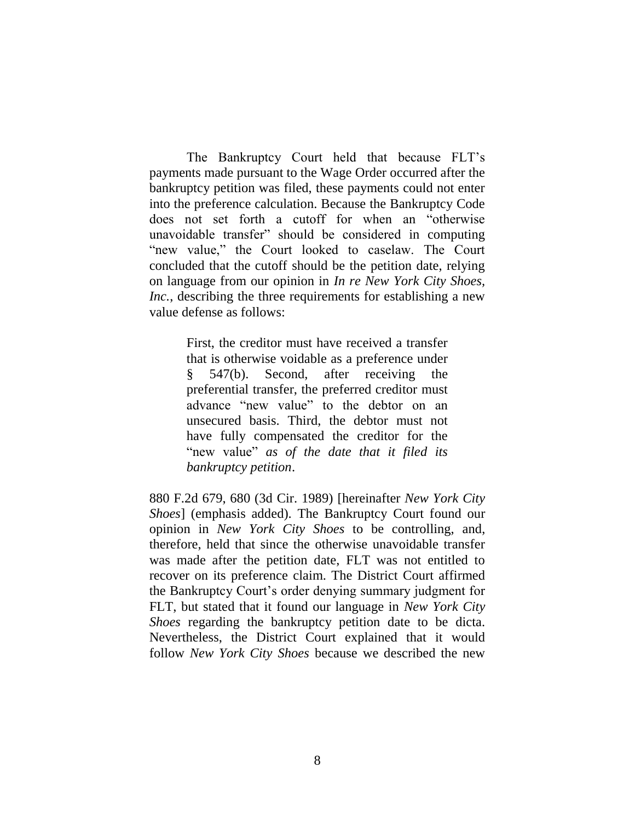The Bankruptcy Court held that because FLT's payments made pursuant to the Wage Order occurred after the bankruptcy petition was filed, these payments could not enter into the preference calculation. Because the Bankruptcy Code does not set forth a cutoff for when an "otherwise unavoidable transfer" should be considered in computing "new value," the Court looked to caselaw. The Court concluded that the cutoff should be the petition date, relying on language from our opinion in *In re New York City Shoes, Inc.*, describing the three requirements for establishing a new value defense as follows:

> First, the creditor must have received a transfer that is otherwise voidable as a preference under § 547(b). Second, after receiving the preferential transfer, the preferred creditor must advance "new value" to the debtor on an unsecured basis. Third, the debtor must not have fully compensated the creditor for the "new value" *as of the date that it filed its bankruptcy petition*.

880 F.2d 679, 680 (3d Cir. 1989) [hereinafter *New York City Shoes*] (emphasis added). The Bankruptcy Court found our opinion in *New York City Shoes* to be controlling, and, therefore, held that since the otherwise unavoidable transfer was made after the petition date, FLT was not entitled to recover on its preference claim. The District Court affirmed the Bankruptcy Court's order denying summary judgment for FLT, but stated that it found our language in *New York City Shoes* regarding the bankruptcy petition date to be dicta. Nevertheless, the District Court explained that it would follow *New York City Shoes* because we described the new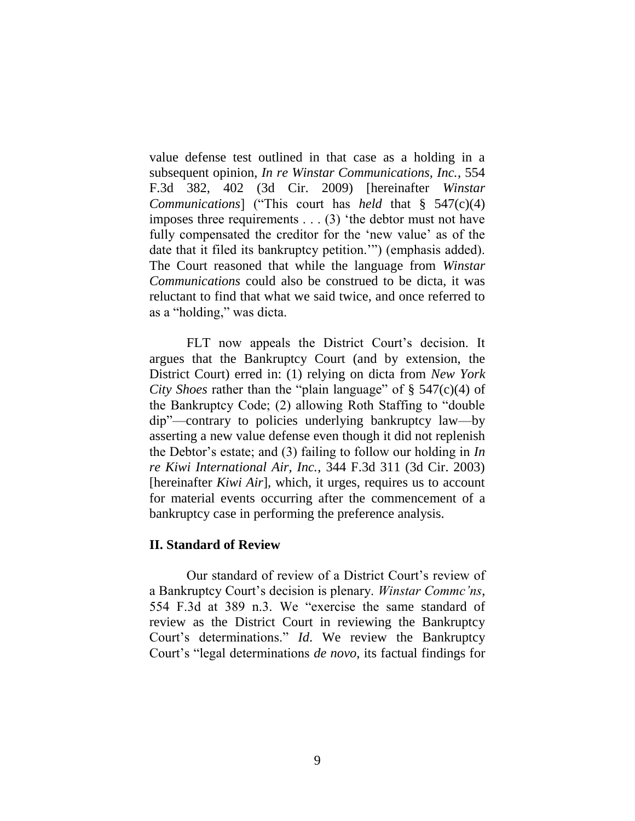value defense test outlined in that case as a holding in a subsequent opinion, *In re Winstar Communications, Inc.*, 554 F.3d 382, 402 (3d Cir. 2009) [hereinafter *Winstar Communications*] ("This court has *held* that § 547(c)(4) imposes three requirements . . . (3) 'the debtor must not have fully compensated the creditor for the 'new value' as of the date that it filed its bankruptcy petition.'") (emphasis added). The Court reasoned that while the language from *Winstar Communications* could also be construed to be dicta, it was reluctant to find that what we said twice, and once referred to as a "holding," was dicta.

FLT now appeals the District Court's decision. It argues that the Bankruptcy Court (and by extension, the District Court) erred in: (1) relying on dicta from *New York City Shoes* rather than the "plain language" of § 547(c)(4) of the Bankruptcy Code; (2) allowing Roth Staffing to "double dip"—contrary to policies underlying bankruptcy law—by asserting a new value defense even though it did not replenish the Debtor's estate; and (3) failing to follow our holding in *In re Kiwi International Air, Inc.*, 344 F.3d 311 (3d Cir. 2003) [hereinafter *Kiwi Air*], which, it urges, requires us to account for material events occurring after the commencement of a bankruptcy case in performing the preference analysis.

### **II. Standard of Review**

Our standard of review of a District Court's review of a Bankruptcy Court's decision is plenary. *Winstar Commc'ns*, 554 F.3d at 389 n.3. We "exercise the same standard of review as the District Court in reviewing the Bankruptcy Court's determinations." *Id*. We review the Bankruptcy Court's "legal determinations *de novo*, its factual findings for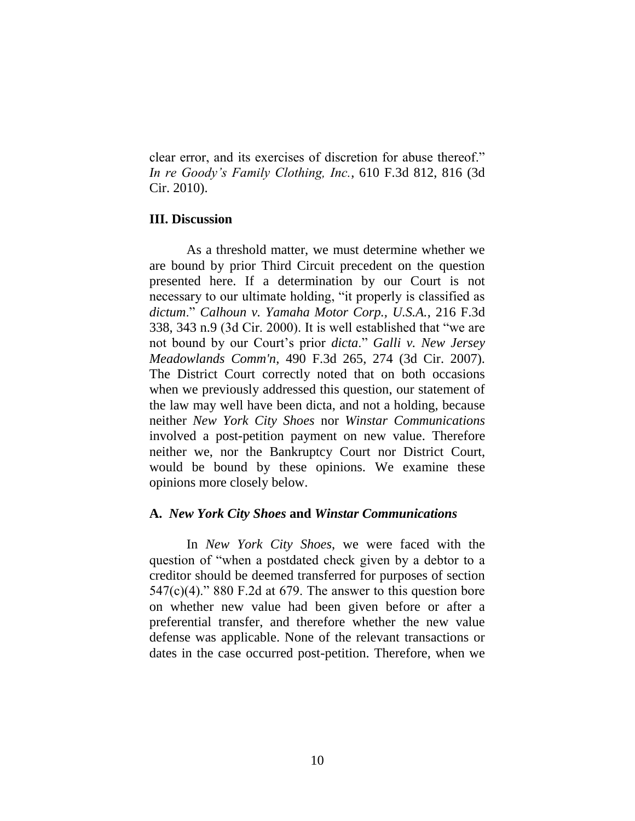clear error, and its exercises of discretion for abuse thereof." *In re Goody's Family Clothing, Inc.*, 610 F.3d 812, 816 (3d Cir. 2010).

### **III. Discussion**

As a threshold matter, we must determine whether we are bound by prior Third Circuit precedent on the question presented here. If a determination by our Court is not necessary to our ultimate holding, "it properly is classified as *dictum*." *Calhoun v. Yamaha Motor Corp., U.S.A.*, 216 F.3d 338, 343 n.9 (3d Cir. 2000). It is well established that "we are not bound by our Court's prior *dicta*." *Galli v. New Jersey Meadowlands Comm'n*, 490 F.3d 265, 274 (3d Cir. 2007). The District Court correctly noted that on both occasions when we previously addressed this question, our statement of the law may well have been dicta, and not a holding, because neither *New York City Shoes* nor *Winstar Communications* involved a post-petition payment on new value. Therefore neither we, nor the Bankruptcy Court nor District Court, would be bound by these opinions. We examine these opinions more closely below.

### **A.** *New York City Shoes* **and** *Winstar Communications*

In *New York City Shoes*, we were faced with the question of "when a postdated check given by a debtor to a creditor should be deemed transferred for purposes of section  $547(c)(4)$ ." 880 F.2d at 679. The answer to this question bore on whether new value had been given before or after a preferential transfer, and therefore whether the new value defense was applicable. None of the relevant transactions or dates in the case occurred post-petition. Therefore, when we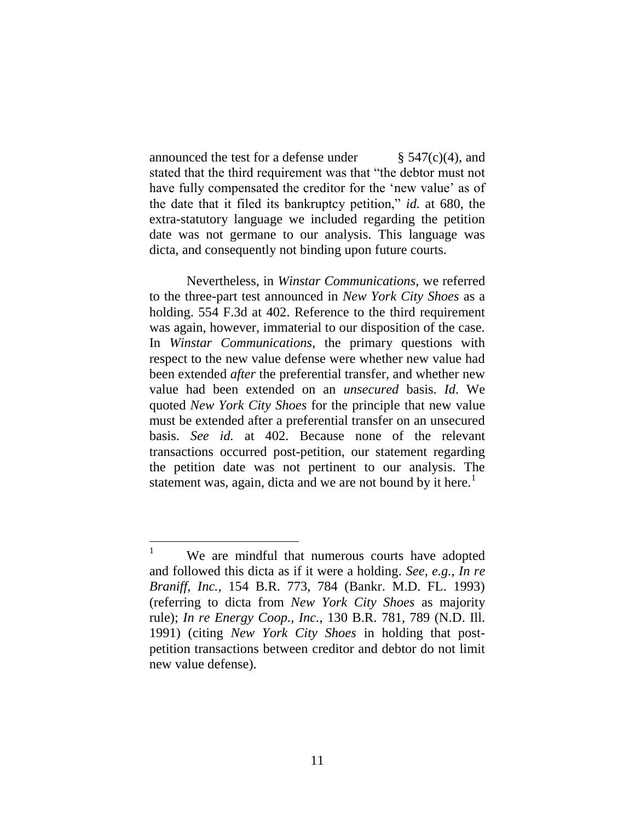announced the test for a defense under  $\S$  547(c)(4), and stated that the third requirement was that "the debtor must not have fully compensated the creditor for the 'new value' as of the date that it filed its bankruptcy petition," *id.* at 680, the extra-statutory language we included regarding the petition date was not germane to our analysis. This language was dicta, and consequently not binding upon future courts.

Nevertheless, in *Winstar Communications*, we referred to the three-part test announced in *New York City Shoes* as a holding. 554 F.3d at 402. Reference to the third requirement was again, however, immaterial to our disposition of the case. In *Winstar Communications*, the primary questions with respect to the new value defense were whether new value had been extended *after* the preferential transfer, and whether new value had been extended on an *unsecured* basis. *Id*. We quoted *New York City Shoes* for the principle that new value must be extended after a preferential transfer on an unsecured basis. *See id.* at 402. Because none of the relevant transactions occurred post-petition, our statement regarding the petition date was not pertinent to our analysis. The statement was, again, dicta and we are not bound by it here.<sup>1</sup>

 $\mathbf{1}$ We are mindful that numerous courts have adopted and followed this dicta as if it were a holding. *See, e.g.*, *In re Braniff, Inc.*, 154 B.R. 773, 784 (Bankr. M.D. FL. 1993) (referring to dicta from *New York City Shoes* as majority rule); *In re Energy Coop., Inc.*, 130 B.R. 781, 789 (N.D. Ill. 1991) (citing *New York City Shoes* in holding that postpetition transactions between creditor and debtor do not limit new value defense).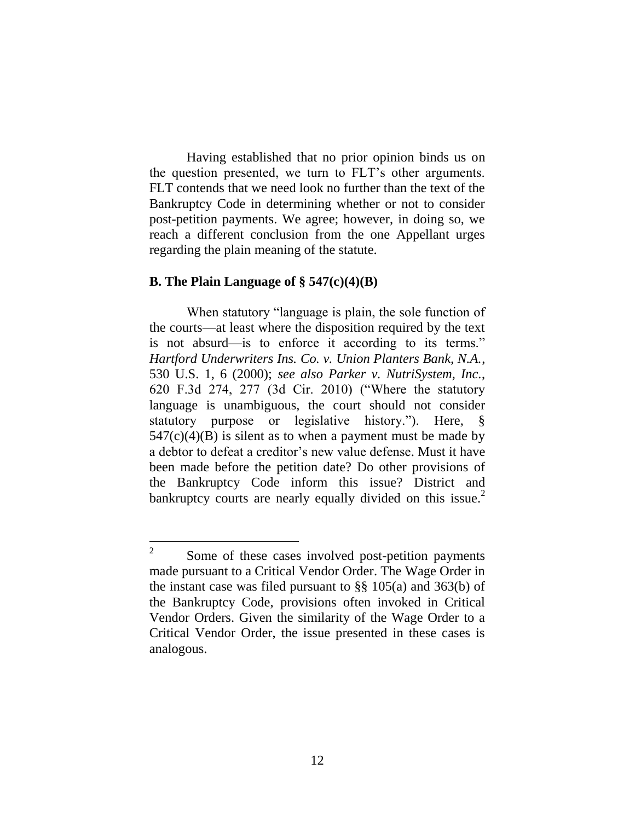Having established that no prior opinion binds us on the question presented, we turn to FLT's other arguments. FLT contends that we need look no further than the text of the Bankruptcy Code in determining whether or not to consider post-petition payments. We agree; however, in doing so, we reach a different conclusion from the one Appellant urges regarding the plain meaning of the statute.

#### **B. The Plain Language of § 547(c)(4)(B)**

 $\overline{a}$ 

When statutory "language is plain, the sole function of the courts—at least where the disposition required by the text is not absurd—is to enforce it according to its terms." *Hartford Underwriters Ins. Co. v. Union Planters Bank, N.A.*, 530 U.S. 1, 6 (2000); *see also Parker v. NutriSystem, Inc.*, 620 F.3d 274, 277 (3d Cir. 2010) ("Where the statutory language is unambiguous, the court should not consider statutory purpose or legislative history."). Here, §  $547(c)(4)(B)$  is silent as to when a payment must be made by a debtor to defeat a creditor's new value defense. Must it have been made before the petition date? Do other provisions of the Bankruptcy Code inform this issue? District and bankruptcy courts are nearly equally divided on this issue.<sup>2</sup>

<sup>2</sup> Some of these cases involved post-petition payments made pursuant to a Critical Vendor Order. The Wage Order in the instant case was filed pursuant to §§ 105(a) and 363(b) of the Bankruptcy Code, provisions often invoked in Critical Vendor Orders. Given the similarity of the Wage Order to a Critical Vendor Order, the issue presented in these cases is analogous.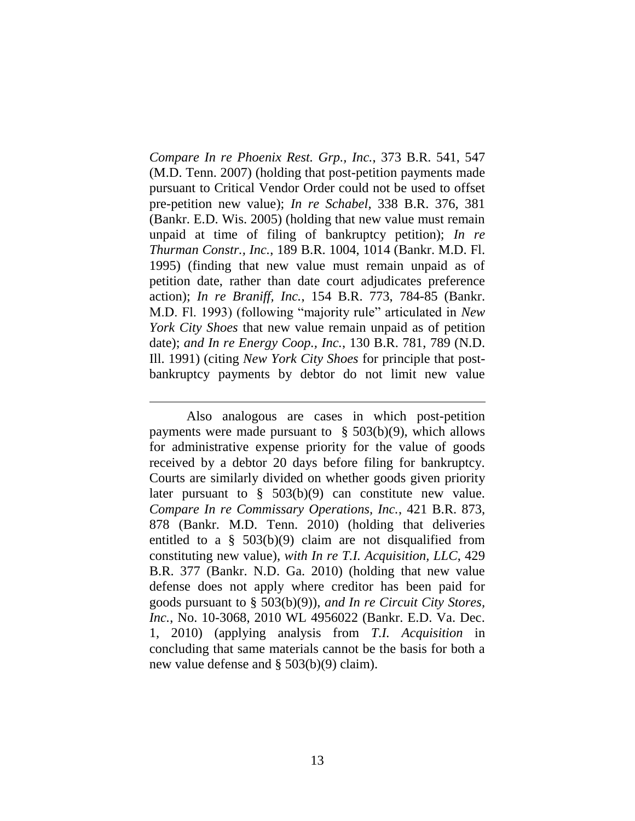*Compare In re Phoenix Rest. Grp., Inc.*, 373 B.R. 541, 547 (M.D. Tenn. 2007) (holding that post-petition payments made pursuant to Critical Vendor Order could not be used to offset pre-petition new value); *In re Schabel*, 338 B.R. 376, 381 (Bankr. E.D. Wis. 2005) (holding that new value must remain unpaid at time of filing of bankruptcy petition); *In re Thurman Constr., Inc.*, 189 B.R. 1004, 1014 (Bankr. M.D. Fl. 1995) (finding that new value must remain unpaid as of petition date, rather than date court adjudicates preference action); *In re Braniff, Inc.*, 154 B.R. 773, 784-85 (Bankr. M.D. Fl. 1993) (following "majority rule" articulated in *New York City Shoes* that new value remain unpaid as of petition date); *and In re Energy Coop., Inc.*, 130 B.R. 781, 789 (N.D. Ill. 1991) (citing *New York City Shoes* for principle that postbankruptcy payments by debtor do not limit new value

 $\overline{a}$ 

Also analogous are cases in which post-petition payments were made pursuant to  $\S$  503(b)(9), which allows for administrative expense priority for the value of goods received by a debtor 20 days before filing for bankruptcy. Courts are similarly divided on whether goods given priority later pursuant to  $\S$  503(b)(9) can constitute new value. *Compare In re Commissary Operations, Inc.*, 421 B.R. 873, 878 (Bankr. M.D. Tenn. 2010) (holding that deliveries entitled to a  $\S$  503(b)(9) claim are not disqualified from constituting new value), *with In re T.I. Acquisition, LLC*, 429 B.R. 377 (Bankr. N.D. Ga. 2010) (holding that new value defense does not apply where creditor has been paid for goods pursuant to § 503(b)(9)), *and In re Circuit City Stores, Inc.*, No. 10-3068, 2010 WL 4956022 (Bankr. E.D. Va. Dec. 1, 2010) (applying analysis from *T.I. Acquisition* in concluding that same materials cannot be the basis for both a new value defense and § 503(b)(9) claim).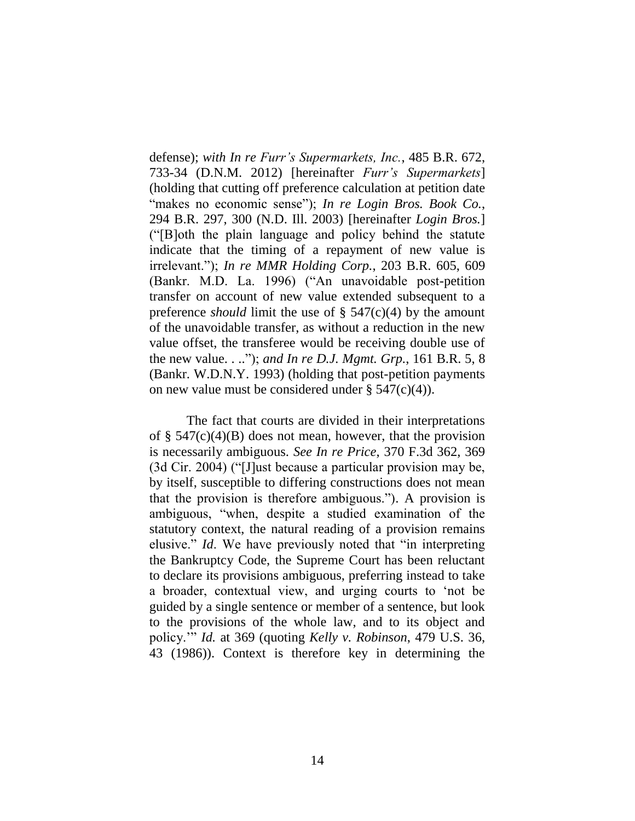defense); *with In re Furr's Supermarkets, Inc.*, 485 B.R. 672, 733-34 (D.N.M. 2012) [hereinafter *Furr's Supermarkets*] (holding that cutting off preference calculation at petition date "makes no economic sense"); *In re Login Bros. Book Co.*, 294 B.R. 297, 300 (N.D. Ill. 2003) [hereinafter *Login Bros.*] ("[B]oth the plain language and policy behind the statute indicate that the timing of a repayment of new value is irrelevant."); *In re MMR Holding Corp.*, 203 B.R. 605, 609 (Bankr. M.D. La. 1996) ("An unavoidable post-petition transfer on account of new value extended subsequent to a preference *should* limit the use of § 547(c)(4) by the amount of the unavoidable transfer, as without a reduction in the new value offset, the transferee would be receiving double use of the new value. . .."); *and In re D.J. Mgmt. Grp.*, 161 B.R. 5, 8 (Bankr. W.D.N.Y. 1993) (holding that post-petition payments on new value must be considered under  $\S$  547(c)(4)).

The fact that courts are divided in their interpretations of  $\S$  547(c)(4)(B) does not mean, however, that the provision is necessarily ambiguous. *See In re Price*, 370 F.3d 362, 369 (3d Cir. 2004) ("[J]ust because a particular provision may be, by itself, susceptible to differing constructions does not mean that the provision is therefore ambiguous."). A provision is ambiguous, "when, despite a studied examination of the statutory context, the natural reading of a provision remains elusive." *Id*. We have previously noted that "in interpreting the Bankruptcy Code, the Supreme Court has been reluctant to declare its provisions ambiguous, preferring instead to take a broader, contextual view, and urging courts to 'not be guided by a single sentence or member of a sentence, but look to the provisions of the whole law, and to its object and policy.'" *Id.* at 369 (quoting *Kelly v. Robinson*, 479 U.S. 36, 43 (1986)). Context is therefore key in determining the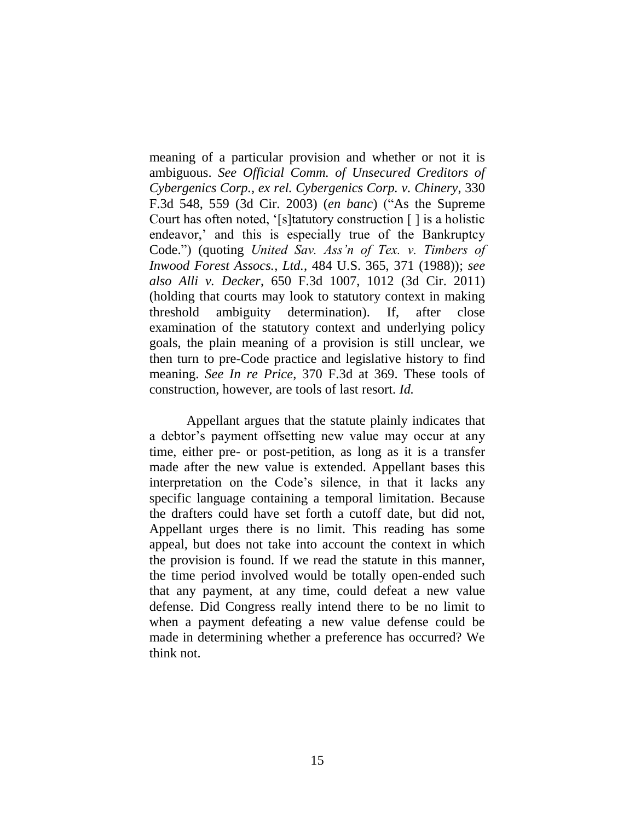meaning of a particular provision and whether or not it is ambiguous. *See Official Comm. of Unsecured Creditors of Cybergenics Corp., ex rel. Cybergenics Corp. v. Chinery*, 330 F.3d 548, 559 (3d Cir. 2003) (*en banc*) ("As the Supreme Court has often noted, '[s]tatutory construction [ ] is a holistic endeavor,' and this is especially true of the Bankruptcy Code.") (quoting *United Sav. Ass'n of Tex. v. Timbers of Inwood Forest Assocs., Ltd.*, 484 U.S. 365, 371 (1988)); *see also Alli v. Decker*, 650 F.3d 1007, 1012 (3d Cir. 2011) (holding that courts may look to statutory context in making threshold ambiguity determination). If, after close examination of the statutory context and underlying policy goals, the plain meaning of a provision is still unclear, we then turn to pre-Code practice and legislative history to find meaning. *See In re Price*, 370 F.3d at 369. These tools of construction, however, are tools of last resort. *Id.*

Appellant argues that the statute plainly indicates that a debtor's payment offsetting new value may occur at any time, either pre- or post-petition, as long as it is a transfer made after the new value is extended. Appellant bases this interpretation on the Code's silence, in that it lacks any specific language containing a temporal limitation. Because the drafters could have set forth a cutoff date, but did not, Appellant urges there is no limit. This reading has some appeal, but does not take into account the context in which the provision is found. If we read the statute in this manner, the time period involved would be totally open-ended such that any payment, at any time, could defeat a new value defense. Did Congress really intend there to be no limit to when a payment defeating a new value defense could be made in determining whether a preference has occurred? We think not.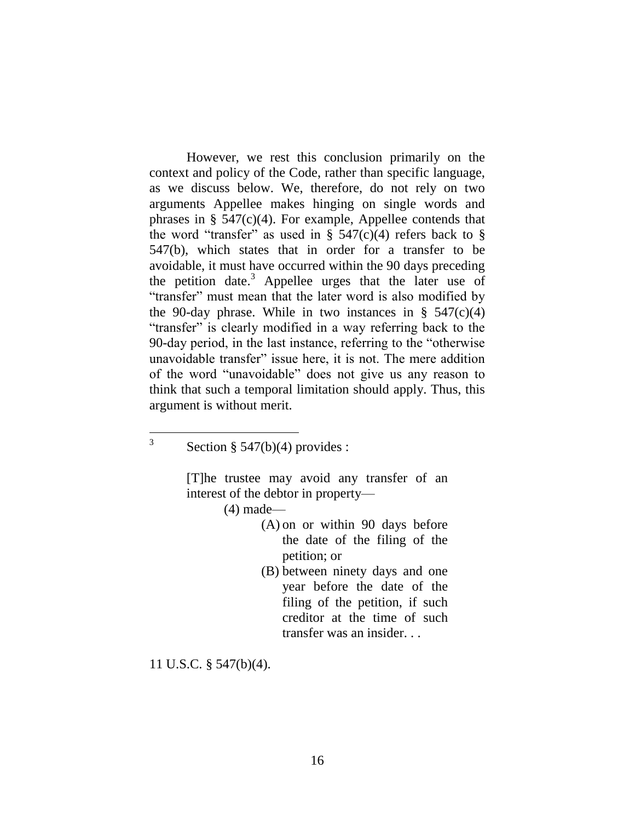However, we rest this conclusion primarily on the context and policy of the Code, rather than specific language, as we discuss below. We, therefore, do not rely on two arguments Appellee makes hinging on single words and phrases in § 547(c)(4). For example, Appellee contends that the word "transfer" as used in §  $547(c)(4)$  refers back to § 547(b), which states that in order for a transfer to be avoidable, it must have occurred within the 90 days preceding the petition date.<sup>3</sup> Appellee urges that the later use of "transfer" must mean that the later word is also modified by the 90-day phrase. While in two instances in  $\S$  547(c)(4) "transfer" is clearly modified in a way referring back to the 90-day period, in the last instance, referring to the "otherwise unavoidable transfer" issue here, it is not. The mere addition of the word "unavoidable" does not give us any reason to think that such a temporal limitation should apply. Thus, this argument is without merit.

 $\overline{a}$ 3

> [T]he trustee may avoid any transfer of an interest of the debtor in property—

> > (4) made—

- (A) on or within 90 days before the date of the filing of the petition; or
- (B) between ninety days and one year before the date of the filing of the petition, if such creditor at the time of such transfer was an insider. . .

11 U.S.C. § 547(b)(4).

Section § 547(b)(4) provides :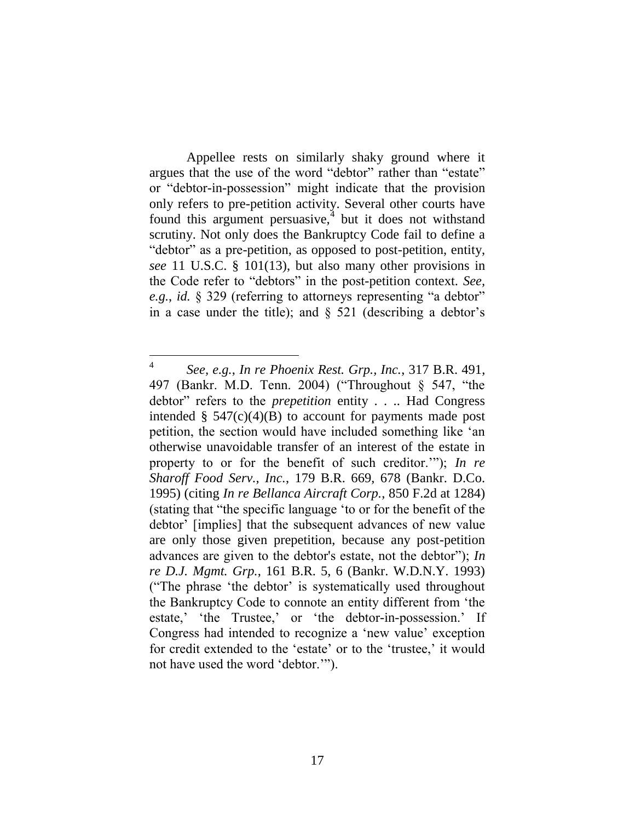Appellee rests on similarly shaky ground where it argues that the use of the word "debtor" rather than "estate" or "debtor-in-possession" might indicate that the provision only refers to pre-petition activity. Several other courts have found this argument persuasive, $\frac{4}{3}$  but it does not withstand scrutiny. Not only does the Bankruptcy Code fail to define a "debtor" as a pre-petition, as opposed to post-petition, entity, *see* 11 U.S.C. § 101(13), but also many other provisions in the Code refer to "debtors" in the post-petition context. *See, e.g.*, *id.* § 329 (referring to attorneys representing "a debtor" in a case under the title); and  $\S$  521 (describing a debtor's

<sup>4</sup> *See, e.g.*, *In re Phoenix Rest. Grp., Inc.*, 317 B.R. 491, 497 (Bankr. M.D. Tenn. 2004) ("Throughout § 547, "the debtor" refers to the *prepetition* entity . . .. Had Congress intended  $\S$  547(c)(4)(B) to account for payments made post petition, the section would have included something like 'an otherwise unavoidable transfer of an interest of the estate in property to or for the benefit of such creditor.'"); *In re Sharoff Food Serv., Inc.*, 179 B.R. 669, 678 (Bankr. D.Co. 1995) (citing *In re Bellanca Aircraft Corp.*, 850 F.2d at 1284) (stating that "the specific language 'to or for the benefit of the debtor' [implies] that the subsequent advances of new value are only those given prepetition, because any post-petition advances are given to the debtor's estate, not the debtor"); *In re D.J. Mgmt. Grp.*, 161 B.R. 5, 6 (Bankr. W.D.N.Y. 1993) ("The phrase 'the debtor' is systematically used throughout the Bankruptcy Code to connote an entity different from 'the estate,' 'the Trustee,' or 'the debtor-in-possession.' If Congress had intended to recognize a 'new value' exception for credit extended to the 'estate' or to the 'trustee,' it would not have used the word 'debtor.'").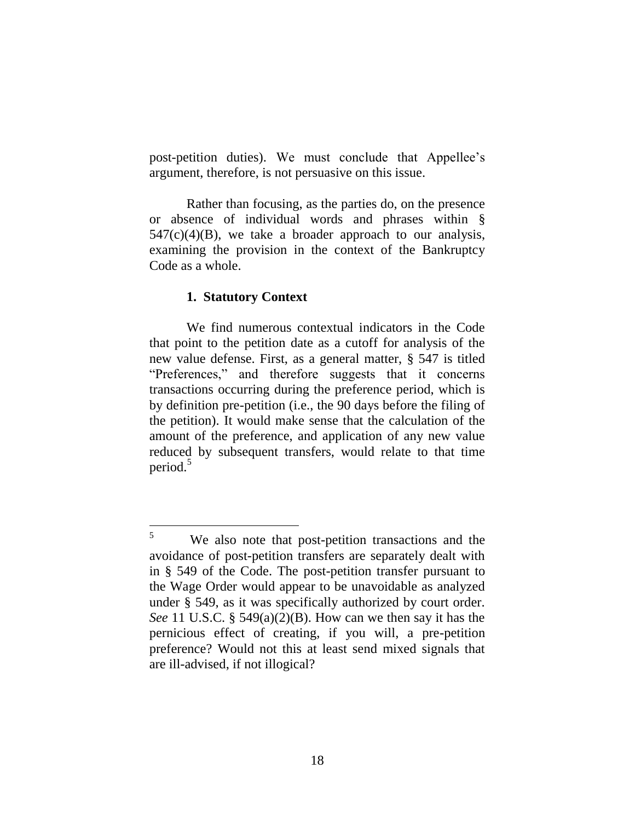post-petition duties). We must conclude that Appellee's argument, therefore, is not persuasive on this issue.

Rather than focusing, as the parties do, on the presence or absence of individual words and phrases within §  $547(c)(4)(B)$ , we take a broader approach to our analysis, examining the provision in the context of the Bankruptcy Code as a whole.

#### **1. Statutory Context**

We find numerous contextual indicators in the Code that point to the petition date as a cutoff for analysis of the new value defense. First, as a general matter, § 547 is titled "Preferences," and therefore suggests that it concerns transactions occurring during the preference period, which is by definition pre-petition (i.e., the 90 days before the filing of the petition). It would make sense that the calculation of the amount of the preference, and application of any new value reduced by subsequent transfers, would relate to that time period.<sup>5</sup>

 $\overline{5}$ We also note that post-petition transactions and the avoidance of post-petition transfers are separately dealt with in § 549 of the Code. The post-petition transfer pursuant to the Wage Order would appear to be unavoidable as analyzed under § 549, as it was specifically authorized by court order. *See* 11 U.S.C. § 549(a)(2)(B). How can we then say it has the pernicious effect of creating, if you will, a pre-petition preference? Would not this at least send mixed signals that are ill-advised, if not illogical?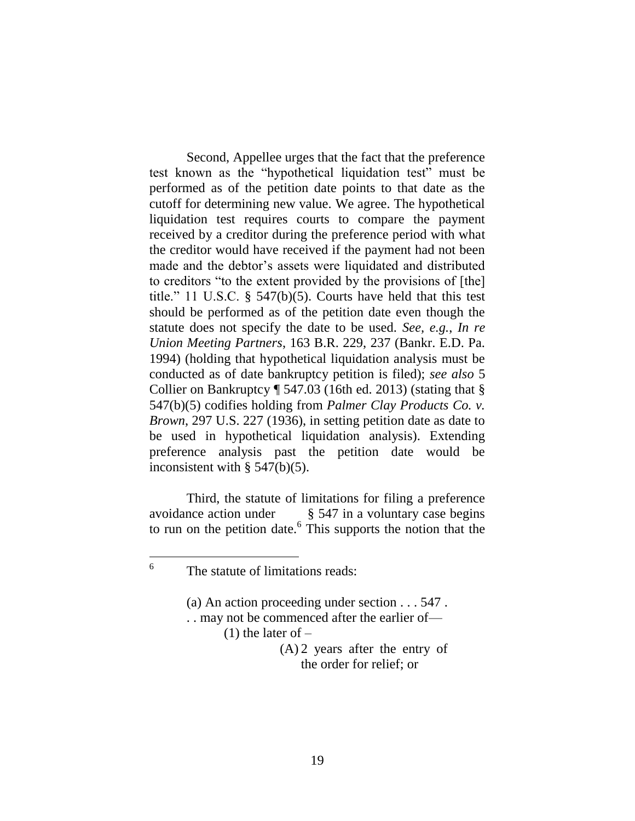Second, Appellee urges that the fact that the preference test known as the "hypothetical liquidation test" must be performed as of the petition date points to that date as the cutoff for determining new value. We agree. The hypothetical liquidation test requires courts to compare the payment received by a creditor during the preference period with what the creditor would have received if the payment had not been made and the debtor's assets were liquidated and distributed to creditors "to the extent provided by the provisions of [the] title." 11 U.S.C. § 547(b)(5). Courts have held that this test should be performed as of the petition date even though the statute does not specify the date to be used. *See, e.g.*, *In re Union Meeting Partners*, 163 B.R. 229, 237 (Bankr. E.D. Pa. 1994) (holding that hypothetical liquidation analysis must be conducted as of date bankruptcy petition is filed); *see also* 5 Collier on Bankruptcy ¶ 547.03 (16th ed. 2013) (stating that § 547(b)(5) codifies holding from *Palmer Clay Products Co. v. Brown*, 297 U.S. 227 (1936), in setting petition date as date to be used in hypothetical liquidation analysis). Extending preference analysis past the petition date would be inconsistent with  $\S$  547(b)(5).

Third, the statute of limitations for filing a preference avoidance action under § 547 in a voluntary case begins to run on the petition date. 6 This supports the notion that the

 6

- (a) An action proceeding under section . . . 547 .
- . . may not be commenced after the earlier of—  $(1)$  the later of  $-$ 
	- (A) 2 years after the entry of the order for relief; or

The statute of limitations reads: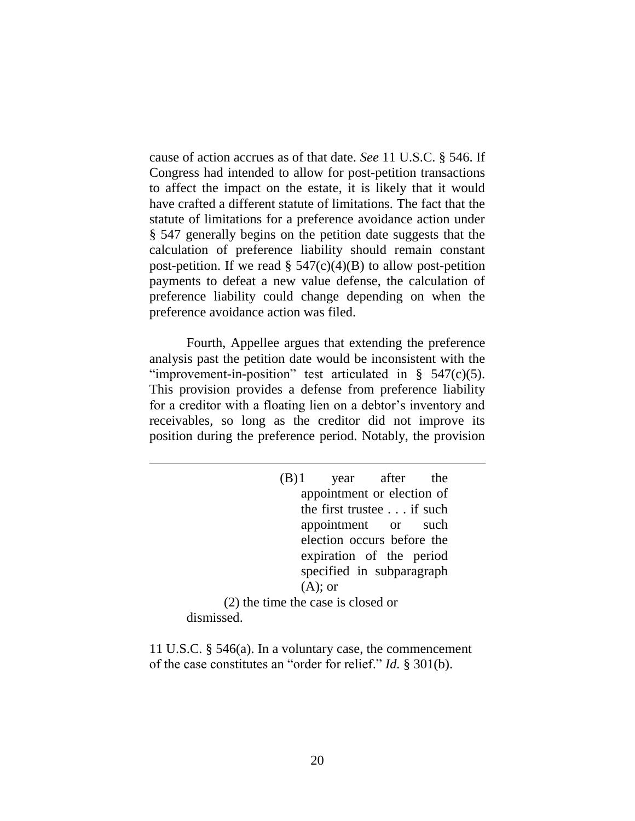cause of action accrues as of that date. *See* 11 U.S.C. § 546. If Congress had intended to allow for post-petition transactions to affect the impact on the estate, it is likely that it would have crafted a different statute of limitations. The fact that the statute of limitations for a preference avoidance action under § 547 generally begins on the petition date suggests that the calculation of preference liability should remain constant post-petition. If we read  $\S$  547(c)(4)(B) to allow post-petition payments to defeat a new value defense, the calculation of preference liability could change depending on when the preference avoidance action was filed.

Fourth, Appellee argues that extending the preference analysis past the petition date would be inconsistent with the "improvement-in-position" test articulated in  $\S$  547(c)(5). This provision provides a defense from preference liability for a creditor with a floating lien on a debtor's inventory and receivables, so long as the creditor did not improve its position during the preference period. Notably, the provision

(B)1 year after the appointment or election of the first trustee . . . if such appointment or such election occurs before the expiration of the period specified in subparagraph  $(A)$ ; or (2) the time the case is closed or dismissed.

11 U.S.C. § 546(a). In a voluntary case, the commencement of the case constitutes an "order for relief." *Id.* § 301(b).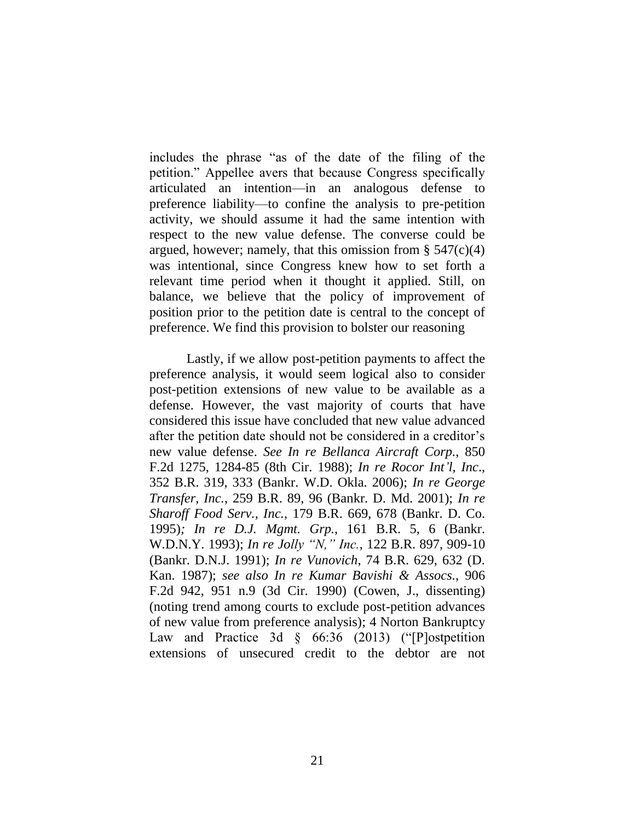includes the phrase "as of the date of the filing of the petition." Appellee avers that because Congress specifically articulated an intention—in an analogous defense to preference liability—to confine the analysis to pre-petition activity, we should assume it had the same intention with respect to the new value defense. The converse could be argued, however; namely, that this omission from  $\S$  547(c)(4) was intentional, since Congress knew how to set forth a relevant time period when it thought it applied. Still, on balance, we believe that the policy of improvement of position prior to the petition date is central to the concept of preference. We find this provision to bolster our reasoning

Lastly, if we allow post-petition payments to affect the preference analysis, it would seem logical also to consider post-petition extensions of new value to be available as a defense. However, the vast majority of courts that have considered this issue have concluded that new value advanced after the petition date should not be considered in a creditor's new value defense. *See In re Bellanca Aircraft Corp.*, 850 F.2d 1275, 1284-85 (8th Cir. 1988); *In re Rocor Int'l, Inc*., 352 B.R. 319, 333 (Bankr. W.D. Okla. 2006); *In re George Transfer, Inc.*, 259 B.R. 89, 96 (Bankr. D. Md. 2001); *In re Sharoff Food Serv., Inc.*, 179 B.R. 669, 678 (Bankr. D. Co. 1995)*; In re D.J. Mgmt. Grp.*, 161 B.R. 5, 6 (Bankr. W.D.N.Y. 1993); *In re Jolly "N," Inc.*, 122 B.R. 897, 909-10 (Bankr. D.N.J. 1991); *In re Vunovich*, 74 B.R. 629, 632 (D. Kan. 1987); *see also In re Kumar Bavishi & Assocs.*, 906 F.2d 942, 951 n.9 (3d Cir. 1990) (Cowen, J., dissenting) (noting trend among courts to exclude post-petition advances of new value from preference analysis); 4 Norton Bankruptcy Law and Practice 3d § 66:36 (2013) ("[P]ostpetition extensions of unsecured credit to the debtor are not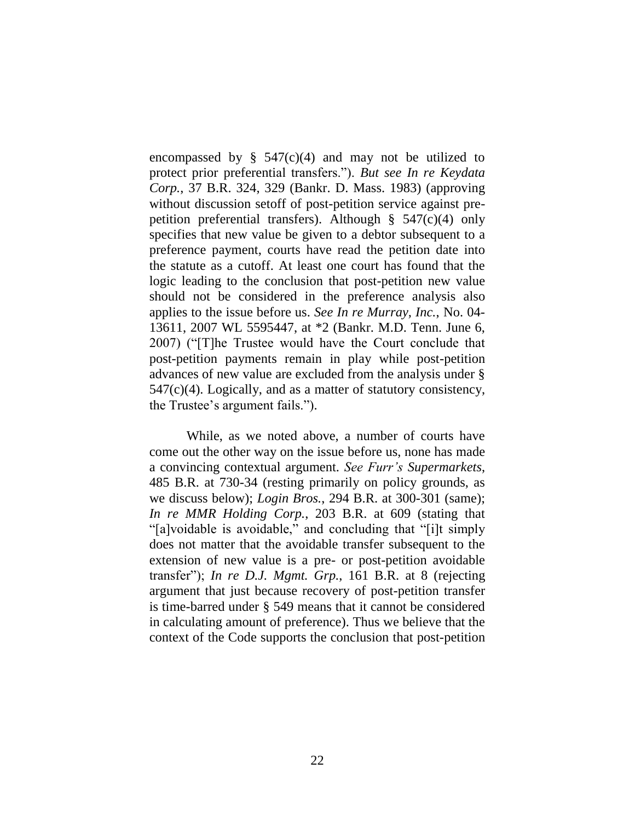encompassed by  $\S$  547(c)(4) and may not be utilized to protect prior preferential transfers."). *But see In re Keydata Corp.*, 37 B.R. 324, 329 (Bankr. D. Mass. 1983) (approving without discussion setoff of post-petition service against prepetition preferential transfers). Although  $\S$  547(c)(4) only specifies that new value be given to a debtor subsequent to a preference payment, courts have read the petition date into the statute as a cutoff. At least one court has found that the logic leading to the conclusion that post-petition new value should not be considered in the preference analysis also applies to the issue before us. *See In re Murray, Inc.*, No. 04- 13611, 2007 WL 5595447, at \*2 (Bankr. M.D. Tenn. June 6, 2007) ("[T]he Trustee would have the Court conclude that post-petition payments remain in play while post-petition advances of new value are excluded from the analysis under § 547(c)(4). Logically, and as a matter of statutory consistency, the Trustee's argument fails.").

While, as we noted above, a number of courts have come out the other way on the issue before us, none has made a convincing contextual argument. *See Furr's Supermarkets*, 485 B.R. at 730-34 (resting primarily on policy grounds, as we discuss below); *Login Bros.*, 294 B.R. at 300-301 (same); *In re MMR Holding Corp.*, 203 B.R. at 609 (stating that "[a]voidable is avoidable," and concluding that "[i]t simply does not matter that the avoidable transfer subsequent to the extension of new value is a pre- or post-petition avoidable transfer"); *In re D.J. Mgmt. Grp.*, 161 B.R. at 8 (rejecting argument that just because recovery of post-petition transfer is time-barred under § 549 means that it cannot be considered in calculating amount of preference). Thus we believe that the context of the Code supports the conclusion that post-petition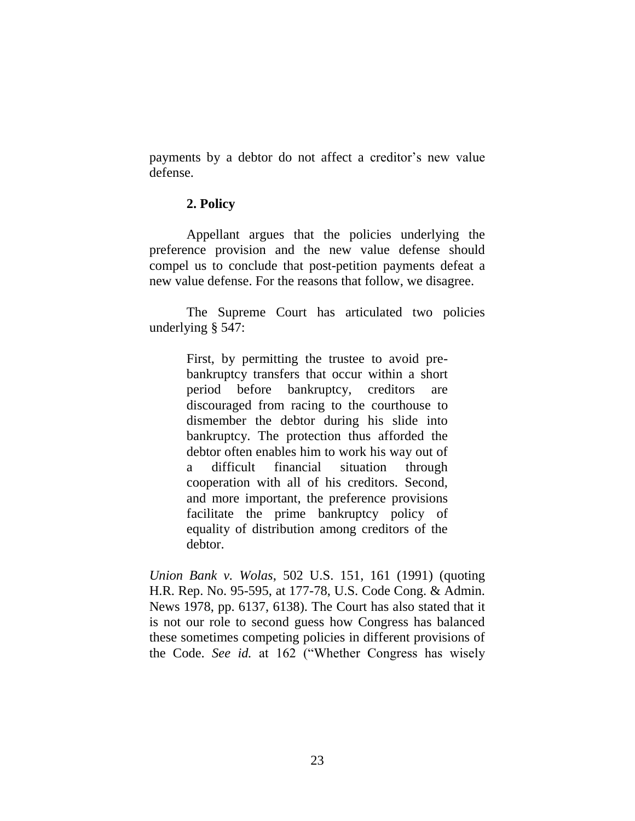payments by a debtor do not affect a creditor's new value defense.

## **2. Policy**

Appellant argues that the policies underlying the preference provision and the new value defense should compel us to conclude that post-petition payments defeat a new value defense. For the reasons that follow, we disagree.

The Supreme Court has articulated two policies underlying § 547:

> First, by permitting the trustee to avoid prebankruptcy transfers that occur within a short period before bankruptcy, creditors are discouraged from racing to the courthouse to dismember the debtor during his slide into bankruptcy. The protection thus afforded the debtor often enables him to work his way out of a difficult financial situation through cooperation with all of his creditors. Second, and more important, the preference provisions facilitate the prime bankruptcy policy of equality of distribution among creditors of the debtor.

*Union Bank v. Wolas*, 502 U.S. 151, 161 (1991) (quoting H.R. Rep. No. 95-595, at 177-78, U.S. Code Cong. & Admin. News 1978, pp. 6137, 6138). The Court has also stated that it is not our role to second guess how Congress has balanced these sometimes competing policies in different provisions of the Code. *See id.* at 162 ("Whether Congress has wisely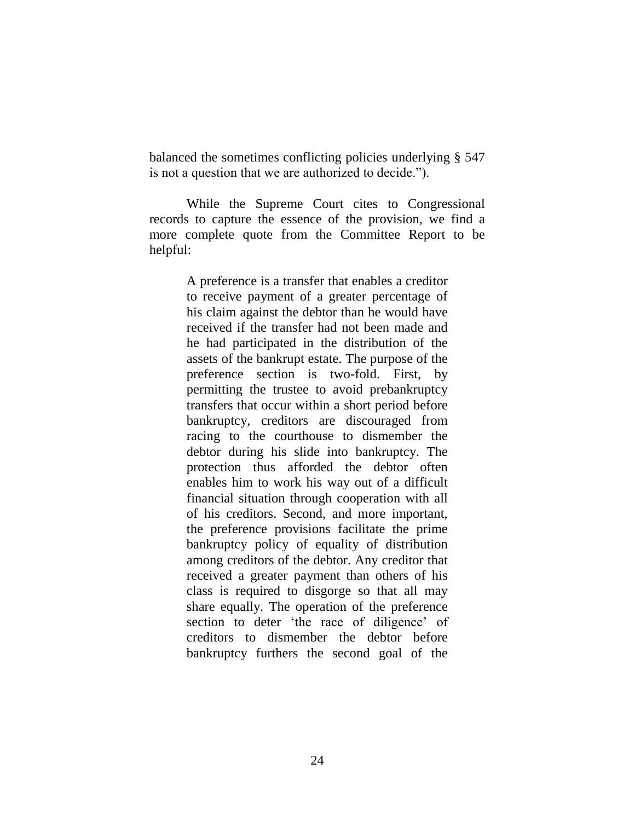balanced the sometimes conflicting policies underlying § 547 is not a question that we are authorized to decide.").

While the Supreme Court cites to Congressional records to capture the essence of the provision, we find a more complete quote from the Committee Report to be helpful:

> A preference is a transfer that enables a creditor to receive payment of a greater percentage of his claim against the debtor than he would have received if the transfer had not been made and he had participated in the distribution of the assets of the bankrupt estate. The purpose of the preference section is two-fold. First, by permitting the trustee to avoid prebankruptcy transfers that occur within a short period before bankruptcy, creditors are discouraged from racing to the courthouse to dismember the debtor during his slide into bankruptcy. The protection thus afforded the debtor often enables him to work his way out of a difficult financial situation through cooperation with all of his creditors. Second, and more important, the preference provisions facilitate the prime bankruptcy policy of equality of distribution among creditors of the debtor. Any creditor that received a greater payment than others of his class is required to disgorge so that all may share equally. The operation of the preference section to deter 'the race of diligence' of creditors to dismember the debtor before bankruptcy furthers the second goal of the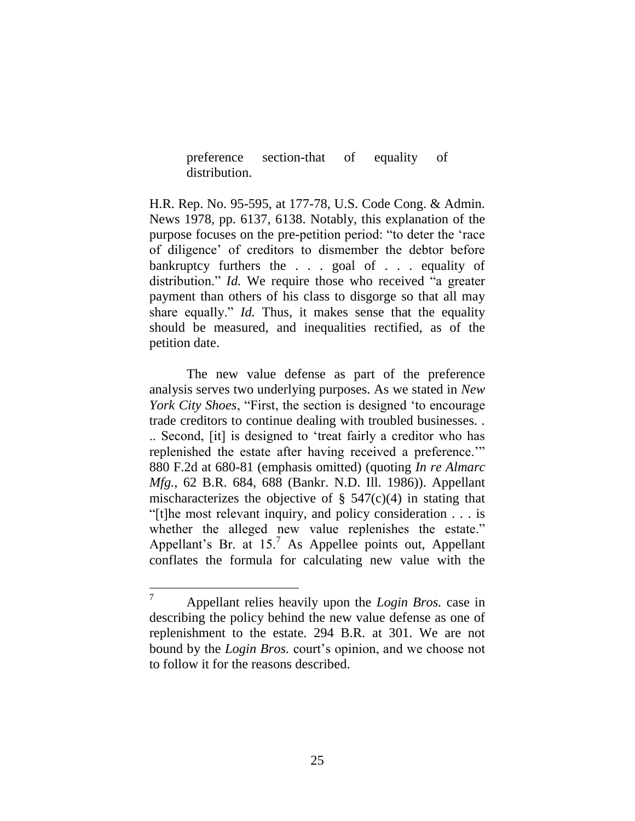preference section-that of equality of distribution.

H.R. Rep. No. 95-595, at 177-78, U.S. Code Cong. & Admin. News 1978, pp. 6137, 6138. Notably, this explanation of the purpose focuses on the pre-petition period: "to deter the 'race of diligence' of creditors to dismember the debtor before bankruptcy furthers the . . . goal of . . . equality of distribution." *Id.* We require those who received "a greater payment than others of his class to disgorge so that all may share equally." *Id.* Thus, it makes sense that the equality should be measured, and inequalities rectified, as of the petition date.

The new value defense as part of the preference analysis serves two underlying purposes. As we stated in *New York City Shoes*, "First, the section is designed 'to encourage trade creditors to continue dealing with troubled businesses. . .. Second, [it] is designed to 'treat fairly a creditor who has replenished the estate after having received a preference.'" 880 F.2d at 680-81 (emphasis omitted) (quoting *In re Almarc Mfg.*, 62 B.R. 684, 688 (Bankr. N.D. Ill. 1986)). Appellant mischaracterizes the objective of  $\S$  547(c)(4) in stating that "[t]he most relevant inquiry, and policy consideration . . . is whether the alleged new value replenishes the estate." Appellant's Br. at  $15<sup>7</sup>$  As Appellee points out, Appellant conflates the formula for calculating new value with the

 $\overline{7}$ <sup>7</sup> Appellant relies heavily upon the *Login Bros.* case in describing the policy behind the new value defense as one of replenishment to the estate. 294 B.R. at 301. We are not bound by the *Login Bros.* court's opinion, and we choose not to follow it for the reasons described.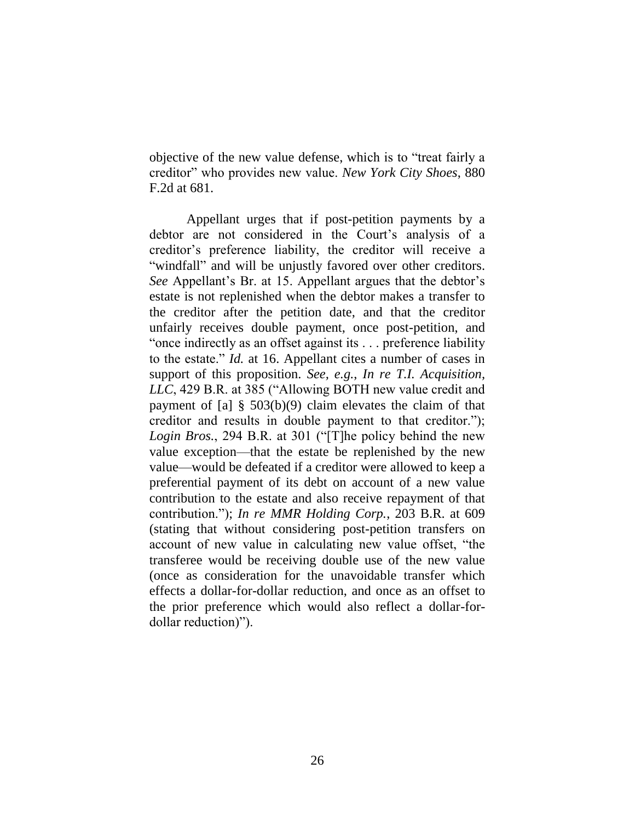objective of the new value defense, which is to "treat fairly a creditor" who provides new value. *New York City Shoes*, 880 F.2d at 681.

Appellant urges that if post-petition payments by a debtor are not considered in the Court's analysis of a creditor's preference liability, the creditor will receive a "windfall" and will be unjustly favored over other creditors. *See* Appellant's Br. at 15. Appellant argues that the debtor's estate is not replenished when the debtor makes a transfer to the creditor after the petition date, and that the creditor unfairly receives double payment, once post-petition, and "once indirectly as an offset against its . . . preference liability to the estate." *Id.* at 16. Appellant cites a number of cases in support of this proposition. *See, e.g.*, *In re T.I. Acquisition, LLC*, 429 B.R. at 385 ("Allowing BOTH new value credit and payment of [a] § 503(b)(9) claim elevates the claim of that creditor and results in double payment to that creditor."); *Login Bros.*, 294 B.R. at 301 ("[T]he policy behind the new value exception—that the estate be replenished by the new value—would be defeated if a creditor were allowed to keep a preferential payment of its debt on account of a new value contribution to the estate and also receive repayment of that contribution."); *In re MMR Holding Corp.*, 203 B.R. at 609 (stating that without considering post-petition transfers on account of new value in calculating new value offset, "the transferee would be receiving double use of the new value (once as consideration for the unavoidable transfer which effects a dollar-for-dollar reduction, and once as an offset to the prior preference which would also reflect a dollar-fordollar reduction)").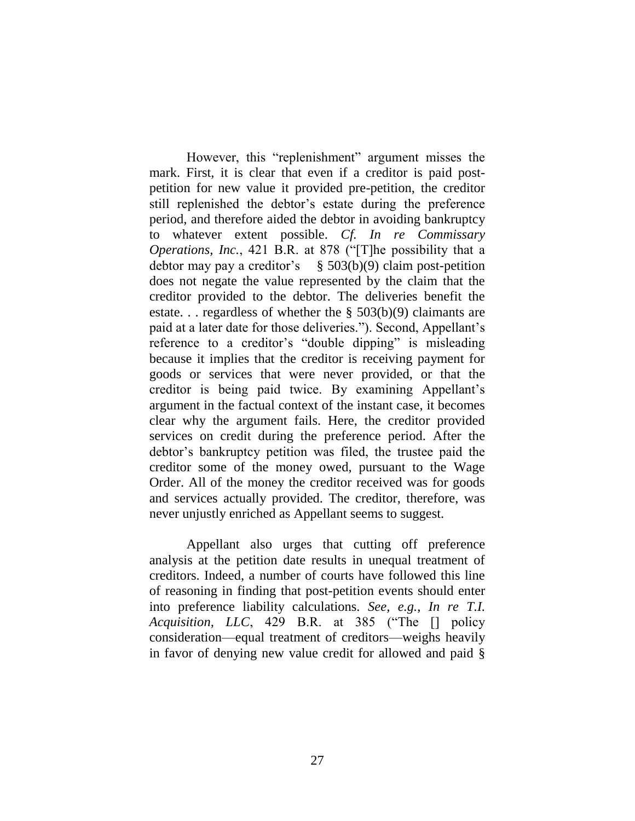However, this "replenishment" argument misses the mark. First, it is clear that even if a creditor is paid postpetition for new value it provided pre-petition, the creditor still replenished the debtor's estate during the preference period, and therefore aided the debtor in avoiding bankruptcy to whatever extent possible. *Cf. In re Commissary Operations, Inc.*, 421 B.R. at 878 ("[T]he possibility that a debtor may pay a creditor's  $\S$  503(b)(9) claim post-petition does not negate the value represented by the claim that the creditor provided to the debtor. The deliveries benefit the estate. . . regardless of whether the  $\S$  503(b)(9) claimants are paid at a later date for those deliveries."). Second, Appellant's reference to a creditor's "double dipping" is misleading because it implies that the creditor is receiving payment for goods or services that were never provided, or that the creditor is being paid twice. By examining Appellant's argument in the factual context of the instant case, it becomes clear why the argument fails. Here, the creditor provided services on credit during the preference period. After the debtor's bankruptcy petition was filed, the trustee paid the creditor some of the money owed, pursuant to the Wage Order. All of the money the creditor received was for goods and services actually provided. The creditor, therefore, was never unjustly enriched as Appellant seems to suggest.

Appellant also urges that cutting off preference analysis at the petition date results in unequal treatment of creditors. Indeed, a number of courts have followed this line of reasoning in finding that post-petition events should enter into preference liability calculations. *See, e.g.*, *In re T.I. Acquisition, LLC*, 429 B.R. at 385 ("The [] policy consideration—equal treatment of creditors—weighs heavily in favor of denying new value credit for allowed and paid §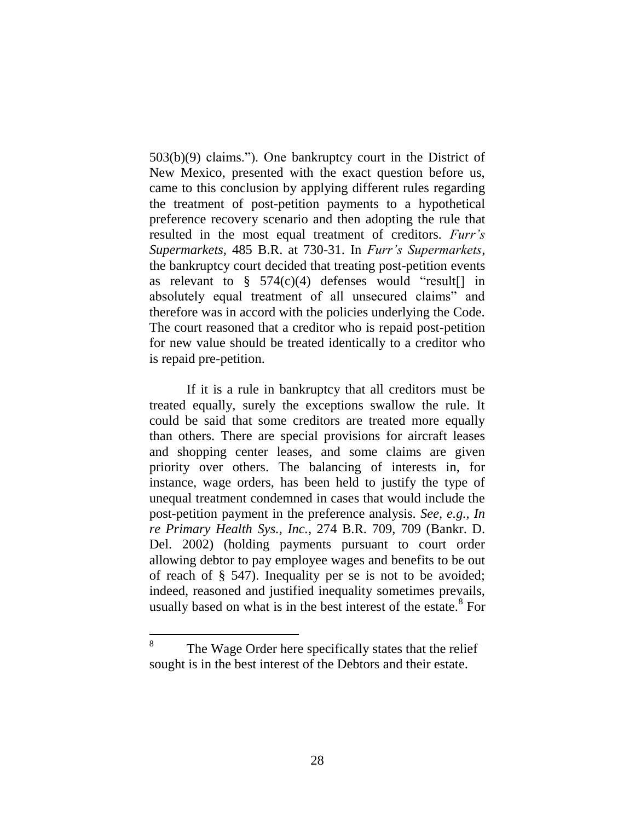503(b)(9) claims."). One bankruptcy court in the District of New Mexico, presented with the exact question before us, came to this conclusion by applying different rules regarding the treatment of post-petition payments to a hypothetical preference recovery scenario and then adopting the rule that resulted in the most equal treatment of creditors*. Furr's Supermarkets,* 485 B.R. at 730-31. In *Furr's Supermarkets*, the bankruptcy court decided that treating post-petition events as relevant to  $\S$  574(c)(4) defenses would "result [] in absolutely equal treatment of all unsecured claims" and therefore was in accord with the policies underlying the Code. The court reasoned that a creditor who is repaid post-petition for new value should be treated identically to a creditor who is repaid pre-petition.

If it is a rule in bankruptcy that all creditors must be treated equally, surely the exceptions swallow the rule. It could be said that some creditors are treated more equally than others. There are special provisions for aircraft leases and shopping center leases, and some claims are given priority over others. The balancing of interests in, for instance, wage orders, has been held to justify the type of unequal treatment condemned in cases that would include the post-petition payment in the preference analysis. *See, e.g., In re Primary Health Sys., Inc.*, 274 B.R. 709, 709 (Bankr. D. Del. 2002) (holding payments pursuant to court order allowing debtor to pay employee wages and benefits to be out of reach of § 547). Inequality per se is not to be avoided; indeed, reasoned and justified inequality sometimes prevails, usually based on what is in the best interest of the estate.<sup>8</sup> For

 $\overline{a}$ 

<sup>8</sup> The Wage Order here specifically states that the relief sought is in the best interest of the Debtors and their estate.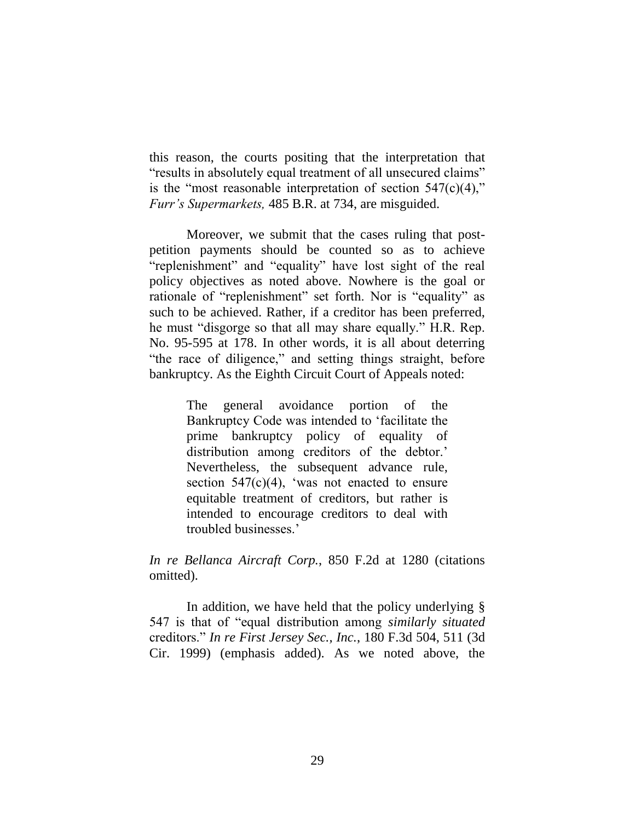this reason, the courts positing that the interpretation that "results in absolutely equal treatment of all unsecured claims" is the "most reasonable interpretation of section  $547(c)(4)$ ," *Furr's Supermarkets,* 485 B.R. at 734, are misguided.

Moreover, we submit that the cases ruling that postpetition payments should be counted so as to achieve "replenishment" and "equality" have lost sight of the real policy objectives as noted above. Nowhere is the goal or rationale of "replenishment" set forth. Nor is "equality" as such to be achieved. Rather, if a creditor has been preferred, he must "disgorge so that all may share equally." H.R. Rep. No. 95-595 at 178. In other words, it is all about deterring "the race of diligence," and setting things straight, before bankruptcy. As the Eighth Circuit Court of Appeals noted:

> The general avoidance portion of the Bankruptcy Code was intended to 'facilitate the prime bankruptcy policy of equality of distribution among creditors of the debtor.' Nevertheless, the subsequent advance rule, section  $547(c)(4)$ , 'was not enacted to ensure equitable treatment of creditors, but rather is intended to encourage creditors to deal with troubled businesses.'

*In re Bellanca Aircraft Corp.*, 850 F.2d at 1280 (citations omitted).

In addition, we have held that the policy underlying § 547 is that of "equal distribution among *similarly situated* creditors." *In re First Jersey Sec., Inc.*, 180 F.3d 504, 511 (3d Cir. 1999) (emphasis added). As we noted above, the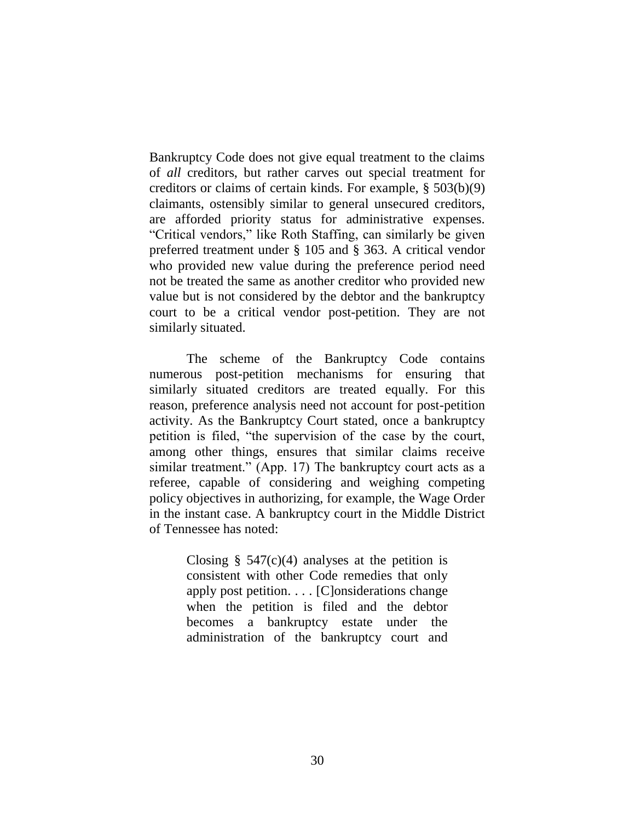Bankruptcy Code does not give equal treatment to the claims of *all* creditors, but rather carves out special treatment for creditors or claims of certain kinds. For example, § 503(b)(9) claimants, ostensibly similar to general unsecured creditors, are afforded priority status for administrative expenses. "Critical vendors," like Roth Staffing, can similarly be given preferred treatment under § 105 and § 363. A critical vendor who provided new value during the preference period need not be treated the same as another creditor who provided new value but is not considered by the debtor and the bankruptcy court to be a critical vendor post-petition. They are not similarly situated.

The scheme of the Bankruptcy Code contains numerous post-petition mechanisms for ensuring that similarly situated creditors are treated equally. For this reason, preference analysis need not account for post-petition activity. As the Bankruptcy Court stated, once a bankruptcy petition is filed, "the supervision of the case by the court, among other things, ensures that similar claims receive similar treatment." (App. 17) The bankruptcy court acts as a referee, capable of considering and weighing competing policy objectives in authorizing, for example, the Wage Order in the instant case. A bankruptcy court in the Middle District of Tennessee has noted:

> Closing  $\S$  547(c)(4) analyses at the petition is consistent with other Code remedies that only apply post petition. . . . [C]onsiderations change when the petition is filed and the debtor becomes a bankruptcy estate under the administration of the bankruptcy court and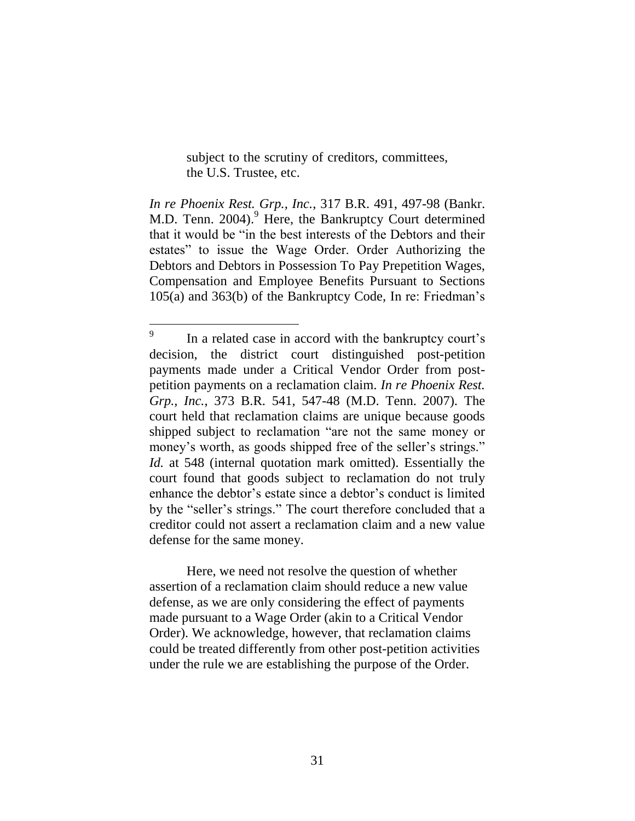subject to the scrutiny of creditors, committees, the U.S. Trustee, etc.

*In re Phoenix Rest. Grp., Inc.*, 317 B.R. 491, 497-98 (Bankr. M.D. Tenn. 2004). <sup>9</sup> Here, the Bankruptcy Court determined that it would be "in the best interests of the Debtors and their estates" to issue the Wage Order. Order Authorizing the Debtors and Debtors in Possession To Pay Prepetition Wages, Compensation and Employee Benefits Pursuant to Sections 105(a) and 363(b) of the Bankruptcy Code, In re: Friedman's

 $\overline{a}$ 

Here, we need not resolve the question of whether assertion of a reclamation claim should reduce a new value defense, as we are only considering the effect of payments made pursuant to a Wage Order (akin to a Critical Vendor Order). We acknowledge, however, that reclamation claims could be treated differently from other post-petition activities under the rule we are establishing the purpose of the Order.

<sup>9</sup> In a related case in accord with the bankruptcy court's decision, the district court distinguished post-petition payments made under a Critical Vendor Order from postpetition payments on a reclamation claim. *In re Phoenix Rest. Grp., Inc.*, 373 B.R. 541, 547-48 (M.D. Tenn. 2007). The court held that reclamation claims are unique because goods shipped subject to reclamation "are not the same money or money's worth, as goods shipped free of the seller's strings." *Id.* at 548 (internal quotation mark omitted). Essentially the court found that goods subject to reclamation do not truly enhance the debtor's estate since a debtor's conduct is limited by the "seller's strings." The court therefore concluded that a creditor could not assert a reclamation claim and a new value defense for the same money.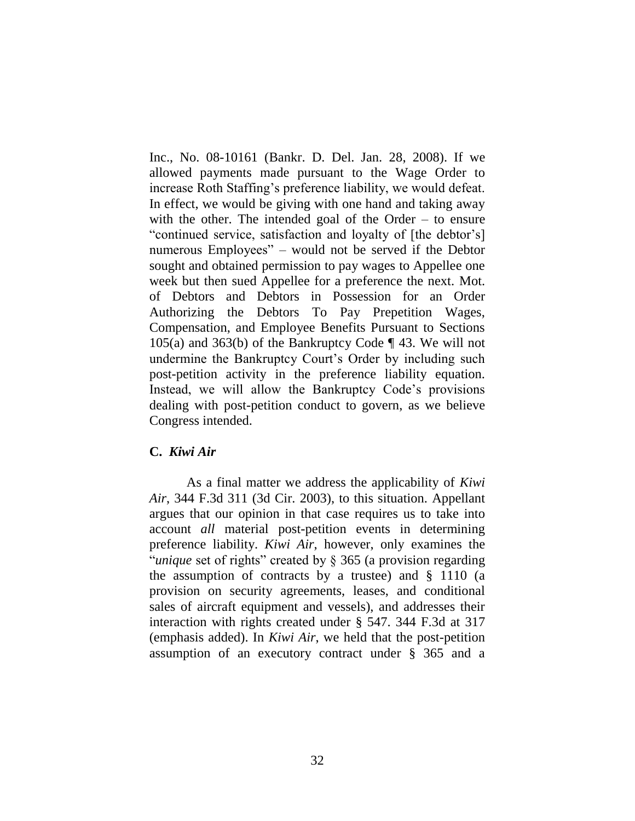Inc., No. 08-10161 (Bankr. D. Del. Jan. 28, 2008). If we allowed payments made pursuant to the Wage Order to increase Roth Staffing's preference liability, we would defeat. In effect, we would be giving with one hand and taking away with the other. The intended goal of the Order – to ensure "continued service, satisfaction and loyalty of [the debtor's] numerous Employees" – would not be served if the Debtor sought and obtained permission to pay wages to Appellee one week but then sued Appellee for a preference the next. Mot. of Debtors and Debtors in Possession for an Order Authorizing the Debtors To Pay Prepetition Wages, Compensation, and Employee Benefits Pursuant to Sections 105(a) and 363(b) of the Bankruptcy Code ¶ 43. We will not undermine the Bankruptcy Court's Order by including such post-petition activity in the preference liability equation. Instead, we will allow the Bankruptcy Code's provisions dealing with post-petition conduct to govern, as we believe Congress intended.

### **C.** *Kiwi Air*

As a final matter we address the applicability of *Kiwi Air*, 344 F.3d 311 (3d Cir. 2003), to this situation. Appellant argues that our opinion in that case requires us to take into account *all* material post-petition events in determining preference liability. *Kiwi Air*, however, only examines the "*unique* set of rights" created by § 365 (a provision regarding the assumption of contracts by a trustee) and  $\S$  1110 (a provision on security agreements, leases, and conditional sales of aircraft equipment and vessels), and addresses their interaction with rights created under § 547. 344 F.3d at 317 (emphasis added). In *Kiwi Air*, we held that the post-petition assumption of an executory contract under § 365 and a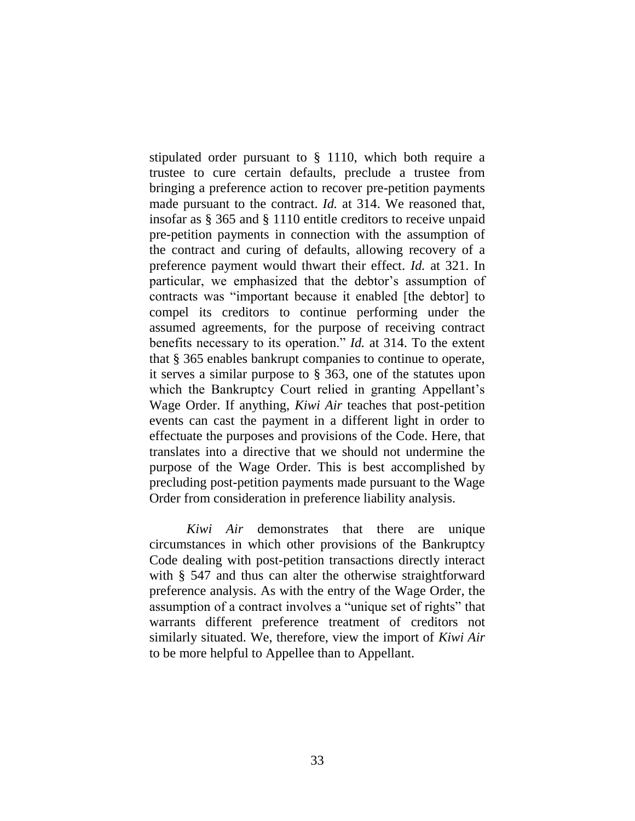stipulated order pursuant to § 1110, which both require a trustee to cure certain defaults, preclude a trustee from bringing a preference action to recover pre-petition payments made pursuant to the contract. *Id.* at 314. We reasoned that, insofar as § 365 and § 1110 entitle creditors to receive unpaid pre-petition payments in connection with the assumption of the contract and curing of defaults, allowing recovery of a preference payment would thwart their effect. *Id.* at 321. In particular, we emphasized that the debtor's assumption of contracts was "important because it enabled [the debtor] to compel its creditors to continue performing under the assumed agreements, for the purpose of receiving contract benefits necessary to its operation." *Id.* at 314. To the extent that § 365 enables bankrupt companies to continue to operate, it serves a similar purpose to § 363, one of the statutes upon which the Bankruptcy Court relied in granting Appellant's Wage Order. If anything, *Kiwi Air* teaches that post-petition events can cast the payment in a different light in order to effectuate the purposes and provisions of the Code. Here, that translates into a directive that we should not undermine the purpose of the Wage Order. This is best accomplished by precluding post-petition payments made pursuant to the Wage Order from consideration in preference liability analysis.

*Kiwi Air* demonstrates that there are unique circumstances in which other provisions of the Bankruptcy Code dealing with post-petition transactions directly interact with § 547 and thus can alter the otherwise straightforward preference analysis. As with the entry of the Wage Order, the assumption of a contract involves a "unique set of rights" that warrants different preference treatment of creditors not similarly situated. We, therefore, view the import of *Kiwi Air* to be more helpful to Appellee than to Appellant.